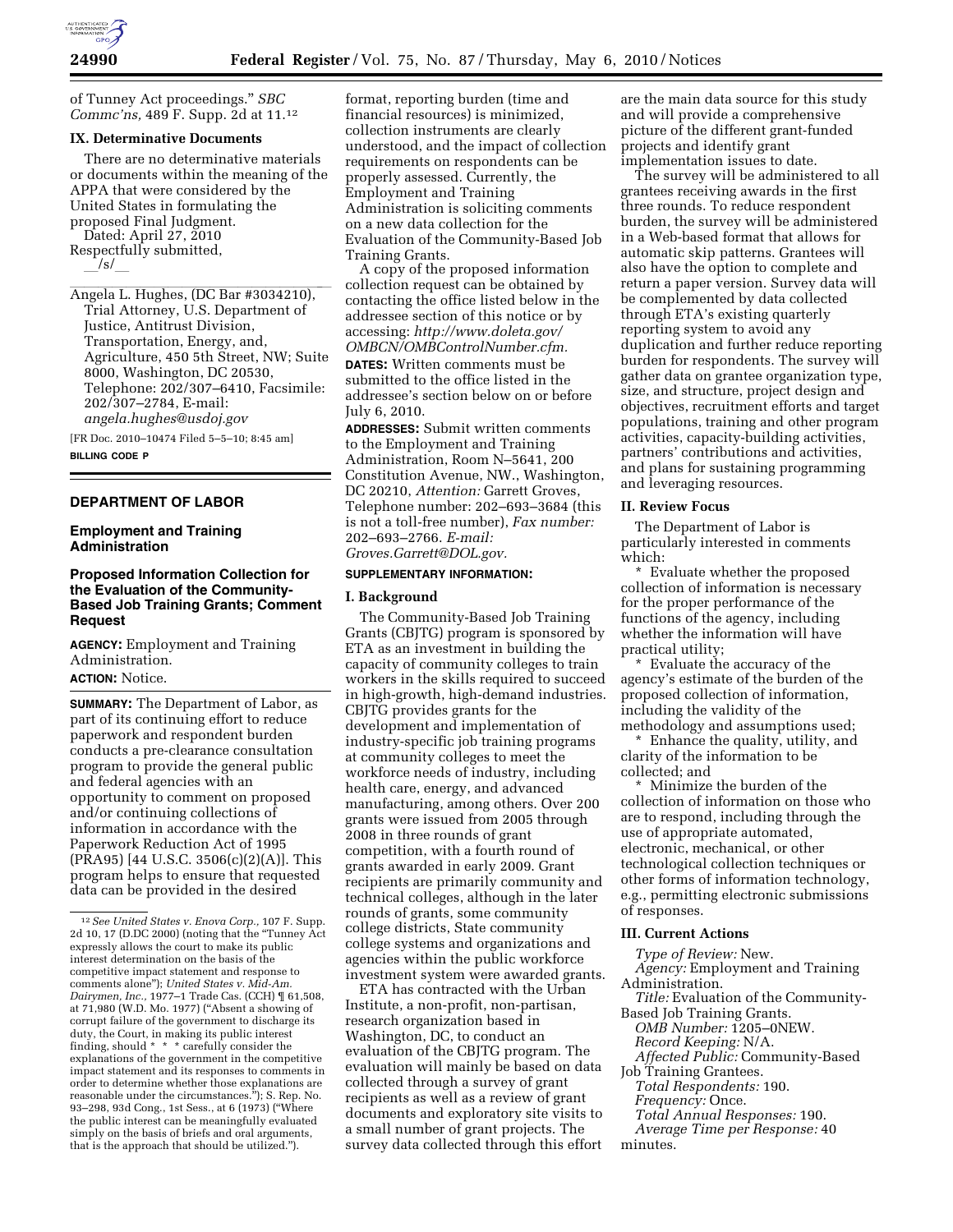of Tunney Act proceedings.'' *SBC Commc'ns,* 489 F. Supp. 2d at 11.12

### **IX. Determinative Documents**

There are no determinative materials or documents within the meaning of the APPA that were considered by the United States in formulating the proposed Final Judgment. Dated: April 27, 2010 Respectfully submitted,

 $\sqrt{s/}$ 

Angela L. Hughes, (DC Bar #3034210), Trial Attorney, U.S. Department of Justice, Antitrust Division, Transportation, Energy, and, Agriculture, 450 5th Street, NW; Suite 8000, Washington, DC 20530, Telephone: 202/307–6410, Facsimile: 202/307–2784, E-mail: *angela.hughes@usdoj.gov* 

[FR Doc. 2010–10474 Filed 5–5–10; 8:45 am]

**BILLING CODE P** 

# **DEPARTMENT OF LABOR**

### **Employment and Training Administration**

## **Proposed Information Collection for the Evaluation of the Community-Based Job Training Grants; Comment Request**

**AGENCY:** Employment and Training Administration. **ACTION:** Notice.

**SUMMARY:** The Department of Labor, as part of its continuing effort to reduce paperwork and respondent burden conducts a pre-clearance consultation program to provide the general public and federal agencies with an opportunity to comment on proposed and/or continuing collections of information in accordance with the Paperwork Reduction Act of 1995 (PRA95) [44 U.S.C. 3506(c)(2)(A)]. This program helps to ensure that requested data can be provided in the desired

format, reporting burden (time and financial resources) is minimized, collection instruments are clearly understood, and the impact of collection requirements on respondents can be properly assessed. Currently, the Employment and Training Administration is soliciting comments on a new data collection for the Evaluation of the Community-Based Job Training Grants.

A copy of the proposed information collection request can be obtained by contacting the office listed below in the addressee section of this notice or by accessing: *http://www.doleta.gov/ OMBCN/OMBControlNumber.cfm.* 

**DATES:** Written comments must be submitted to the office listed in the addressee's section below on or before July 6, 2010.

**ADDRESSES:** Submit written comments to the Employment and Training Administration, Room N–5641, 200 Constitution Avenue, NW., Washington, DC 20210, *Attention:* Garrett Groves, Telephone number: 202–693–3684 (this is not a toll-free number), *Fax number:*  202–693–2766. *E-mail: Groves.Garrett@DOL.gov.* 

#### **SUPPLEMENTARY INFORMATION:**

#### **I. Background**

The Community-Based Job Training Grants (CBJTG) program is sponsored by ETA as an investment in building the capacity of community colleges to train workers in the skills required to succeed in high-growth, high-demand industries. CBJTG provides grants for the development and implementation of industry-specific job training programs at community colleges to meet the workforce needs of industry, including health care, energy, and advanced manufacturing, among others. Over 200 grants were issued from 2005 through 2008 in three rounds of grant competition, with a fourth round of grants awarded in early 2009. Grant recipients are primarily community and technical colleges, although in the later rounds of grants, some community college districts, State community college systems and organizations and agencies within the public workforce investment system were awarded grants.

ETA has contracted with the Urban Institute, a non-profit, non-partisan, research organization based in Washington, DC, to conduct an evaluation of the CBJTG program. The evaluation will mainly be based on data collected through a survey of grant recipients as well as a review of grant documents and exploratory site visits to a small number of grant projects. The survey data collected through this effort

are the main data source for this study and will provide a comprehensive picture of the different grant-funded projects and identify grant implementation issues to date.

The survey will be administered to all grantees receiving awards in the first three rounds. To reduce respondent burden, the survey will be administered in a Web-based format that allows for automatic skip patterns. Grantees will also have the option to complete and return a paper version. Survey data will be complemented by data collected through ETA's existing quarterly reporting system to avoid any duplication and further reduce reporting burden for respondents. The survey will gather data on grantee organization type, size, and structure, project design and objectives, recruitment efforts and target populations, training and other program activities, capacity-building activities, partners' contributions and activities, and plans for sustaining programming and leveraging resources.

#### **II. Review Focus**

The Department of Labor is particularly interested in comments which:

\* Evaluate whether the proposed collection of information is necessary for the proper performance of the functions of the agency, including whether the information will have practical utility;

Evaluate the accuracy of the agency's estimate of the burden of the proposed collection of information, including the validity of the methodology and assumptions used;

\* Enhance the quality, utility, and clarity of the information to be collected; and

\* Minimize the burden of the collection of information on those who are to respond, including through the use of appropriate automated, electronic, mechanical, or other technological collection techniques or other forms of information technology, e.g., permitting electronic submissions of responses.

#### **III. Current Actions**

*Type of Review:* New. *Agency:* Employment and Training Administration.

*Title:* Evaluation of the Community-Based Job Training Grants.

*OMB Number:* 1205–0NEW.

*Record Keeping:* N/A.

*Affected Public:* Community-Based Job Training Grantees.

*Total Respondents:* 190.

*Frequency:* Once.

*Total Annual Responses:* 190.

*Average Time per Response:* 40

minutes.

<sup>12</sup>*See United States v. Enova Corp.,* 107 F. Supp. 2d 10, 17 (D.DC 2000) (noting that the ''Tunney Act expressly allows the court to make its public interest determination on the basis of the competitive impact statement and response to comments alone''); *United States v. Mid-Am. Dairymen, Inc.,* 1977–1 Trade Cas. (CCH) ¶ 61,508, at 71,980 (W.D. Mo. 1977) ("Absent a showing of corrupt failure of the government to discharge its duty, the Court, in making its public interest finding, should \* \* \* carefully consider the explanations of the government in the competitive impact statement and its responses to comments in order to determine whether those explanations are reasonable under the circumstances.''); S. Rep. No. 93–298, 93d Cong., 1st Sess., at 6 (1973) (''Where the public interest can be meaningfully evaluated simply on the basis of briefs and oral arguments, that is the approach that should be utilized.'').